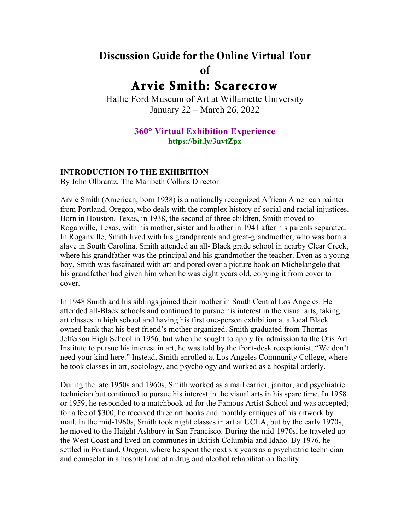# **Discussion Guide for the Online Virtual Tour of Arvie Smith: Scarecrow**

Hallie Ford Museum of Art at Willamette University January 22 – March 26, 2022

## **360° Virtual Exhibition Experience https://bit.ly/3uvtZpx**

#### **INTRODUCTION TO THE EXHIBITION**

By John Olbrantz, The Maribeth Collins Director

Arvie Smith (American, born 1938) is a nationally recognized African American painter from Portland, Oregon, who deals with the complex history of social and racial injustices. Born in Houston, Texas, in 1938, the second of three children, Smith moved to Roganville, Texas, with his mother, sister and brother in 1941 after his parents separated. In Roganville, Smith lived with his grandparents and great-grandmother, who was born a slave in South Carolina. Smith attended an all- Black grade school in nearby Clear Creek, where his grandfather was the principal and his grandmother the teacher. Even as a young boy, Smith was fascinated with art and pored over a picture book on Michelangelo that his grandfather had given him when he was eight years old, copying it from cover to cover.

In 1948 Smith and his siblings joined their mother in South Central Los Angeles. He attended all-Black schools and continued to pursue his interest in the visual arts, taking art classes in high school and having his first one-person exhibition at a local Black owned bank that his best friend's mother organized. Smith graduated from Thomas Jefferson High School in 1956, but when he sought to apply for admission to the Otis Art Institute to pursue his interest in art, he was told by the front-desk receptionist, "We don't need your kind here." Instead, Smith enrolled at Los Angeles Community College, where he took classes in art, sociology, and psychology and worked as a hospital orderly.

During the late 1950s and 1960s, Smith worked as a mail carrier, janitor, and psychiatric technician but continued to pursue his interest in the visual arts in his spare time. In 1958 or 1959, he responded to a matchbook ad for the Famous Artist School and was accepted; for a fee of \$300, he received three art books and monthly critiques of his artwork by mail. In the mid-1960s, Smith took night classes in art at UCLA, but by the early 1970s, he moved to the Haight Ashbury in San Francisco. During the mid-1970s, he traveled up the West Coast and lived on communes in British Columbia and Idaho. By 1976, he settled in Portland, Oregon, where he spent the next six years as a psychiatric technician and counselor in a hospital and at a drug and alcohol rehabilitation facility.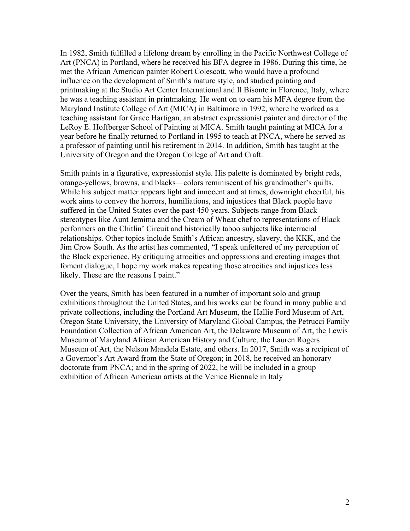In 1982, Smith fulfilled a lifelong dream by enrolling in the Pacific Northwest College of Art (PNCA) in Portland, where he received his BFA degree in 1986. During this time, he met the African American painter Robert Colescott, who would have a profound influence on the development of Smith's mature style, and studied painting and printmaking at the Studio Art Center International and Il Bisonte in Florence, Italy, where he was a teaching assistant in printmaking. He went on to earn his MFA degree from the Maryland Institute College of Art (MICA) in Baltimore in 1992, where he worked as a teaching assistant for Grace Hartigan, an abstract expressionist painter and director of the LeRoy E. Hoffberger School of Painting at MICA. Smith taught painting at MICA for a year before he finally returned to Portland in 1995 to teach at PNCA, where he served as a professor of painting until his retirement in 2014. In addition, Smith has taught at the University of Oregon and the Oregon College of Art and Craft.

Smith paints in a figurative, expressionist style. His palette is dominated by bright reds, orange-yellows, browns, and blacks—colors reminiscent of his grandmother's quilts. While his subject matter appears light and innocent and at times, downright cheerful, his work aims to convey the horrors, humiliations, and injustices that Black people have suffered in the United States over the past 450 years. Subjects range from Black stereotypes like Aunt Jemima and the Cream of Wheat chef to representations of Black performers on the Chitlin' Circuit and historically taboo subjects like interracial relationships. Other topics include Smith's African ancestry, slavery, the KKK, and the Jim Crow South. As the artist has commented, "I speak unfettered of my perception of the Black experience. By critiquing atrocities and oppressions and creating images that foment dialogue, I hope my work makes repeating those atrocities and injustices less likely. These are the reasons I paint."

Over the years, Smith has been featured in a number of important solo and group exhibitions throughout the United States, and his works can be found in many public and private collections, including the Portland Art Museum, the Hallie Ford Museum of Art, Oregon State University, the University of Maryland Global Campus, the Petrucci Family Foundation Collection of African American Art, the Delaware Museum of Art, the Lewis Museum of Maryland African American History and Culture, the Lauren Rogers Museum of Art, the Nelson Mandela Estate, and others. In 2017, Smith was a recipient of a Governor's Art Award from the State of Oregon; in 2018, he received an honorary doctorate from PNCA; and in the spring of 2022, he will be included in a group exhibition of African American artists at the Venice Biennale in Italy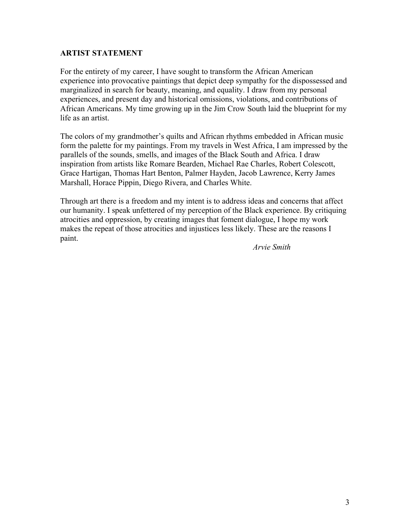#### **ARTIST STATEMENT**

For the entirety of my career, I have sought to transform the African American experience into provocative paintings that depict deep sympathy for the dispossessed and marginalized in search for beauty, meaning, and equality. I draw from my personal experiences, and present day and historical omissions, violations, and contributions of African Americans. My time growing up in the Jim Crow South laid the blueprint for my life as an artist.

The colors of my grandmother's quilts and African rhythms embedded in African music form the palette for my paintings. From my travels in West Africa, I am impressed by the parallels of the sounds, smells, and images of the Black South and Africa. I draw inspiration from artists like Romare Bearden, Michael Rae Charles, Robert Colescott, Grace Hartigan, Thomas Hart Benton, Palmer Hayden, Jacob Lawrence, Kerry James Marshall, Horace Pippin, Diego Rivera, and Charles White.

Through art there is a freedom and my intent is to address ideas and concerns that affect our humanity. I speak unfettered of my perception of the Black experience. By critiquing atrocities and oppression, by creating images that foment dialogue, I hope my work makes the repeat of those atrocities and injustices less likely. These are the reasons I paint.

*Arvie Smith*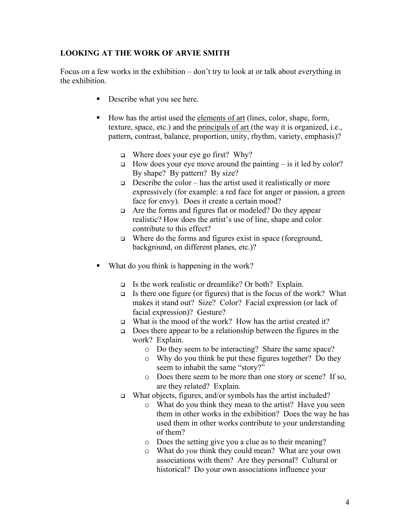## **LOOKING AT THE WORK OF ARVIE SMITH**

Focus on a few works in the exhibition – don't try to look at or talk about everything in the exhibition.

- **•** Describe what you see here.
- ! How has the artist used the elements of art (lines, color, shape, form, texture, space, etc.) and the principals of art (the way it is organized, i.e., pattern, contrast, balance, proportion, unity, rhythm, variety, emphasis)?
	- $\Box$  Where does your eye go first? Why?
	- $\Box$  How does your eye move around the painting is it led by color? By shape? By pattern? By size?
	- $\Box$  Describe the color has the artist used it realistically or more expressively (for example: a red face for anger or passion, a green face for envy). Does it create a certain mood?
	- $\Box$  Are the forms and figures flat or modeled? Do they appear realistic? How does the artist's use of line, shape and color contribute to this effect?
	- $\Box$  Where do the forms and figures exist in space (foreground, background, on different planes, etc.)?
- What do you think is happening in the work?
	- $\Box$  Is the work realistic or dreamlike? Or both? Explain.
	- $\Box$  Is there one figure (or figures) that is the focus of the work? What makes it stand out? Size? Color? Facial expression (or lack of facial expression)? Gesture?
	- $\Box$  What is the mood of the work? How has the artist created it?
	- $\Box$  Does there appear to be a relationship between the figures in the work? Explain.
		- o Do they seem to be interacting? Share the same space?
		- o Why do you think he put these figures together? Do they seem to inhabit the same "story?"
		- o Does there seem to be more than one story or scene? If so, are they related? Explain.
	- □ What objects, figures, and/or symbols has the artist included?
		- o What do you think they mean to the artist? Have you seen them in other works in the exhibition? Does the way he has used them in other works contribute to your understanding of them?
		- o Does the setting give you a clue as to their meaning?
		- o What do *you* think they could mean? What are your own associations with them? Are they personal? Cultural or historical? Do your own associations influence your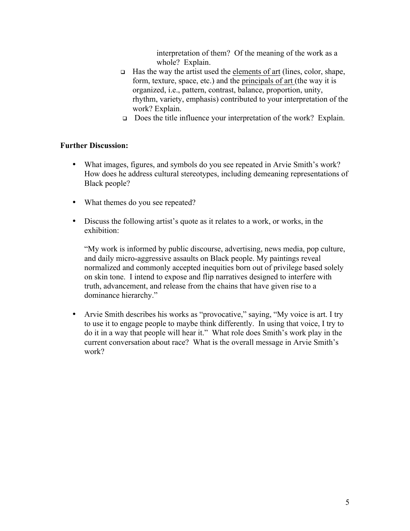interpretation of them? Of the meaning of the work as a whole? Explain.

- $\Box$  Has the way the artist used the elements of art (lines, color, shape, form, texture, space, etc.) and the principals of art (the way it is organized, i.e., pattern, contrast, balance, proportion, unity, rhythm, variety, emphasis) contributed to your interpretation of the work? Explain.
- $\Box$  Does the title influence your interpretation of the work? Explain.

### **Further Discussion:**

- What images, figures, and symbols do you see repeated in Arvie Smith's work? How does he address cultural stereotypes, including demeaning representations of Black people?
- What themes do you see repeated?
- Discuss the following artist's quote as it relates to a work, or works, in the exhibition:

"My work is informed by public discourse, advertising, news media, pop culture, and daily micro-aggressive assaults on Black people. My paintings reveal normalized and commonly accepted inequities born out of privilege based solely on skin tone. I intend to expose and flip narratives designed to interfere with truth, advancement, and release from the chains that have given rise to a dominance hierarchy."

• Arvie Smith describes his works as "provocative," saying, "My voice is art. I try to use it to engage people to maybe think differently. In using that voice, I try to do it in a way that people will hear it." What role does Smith's work play in the current conversation about race? What is the overall message in Arvie Smith's work?